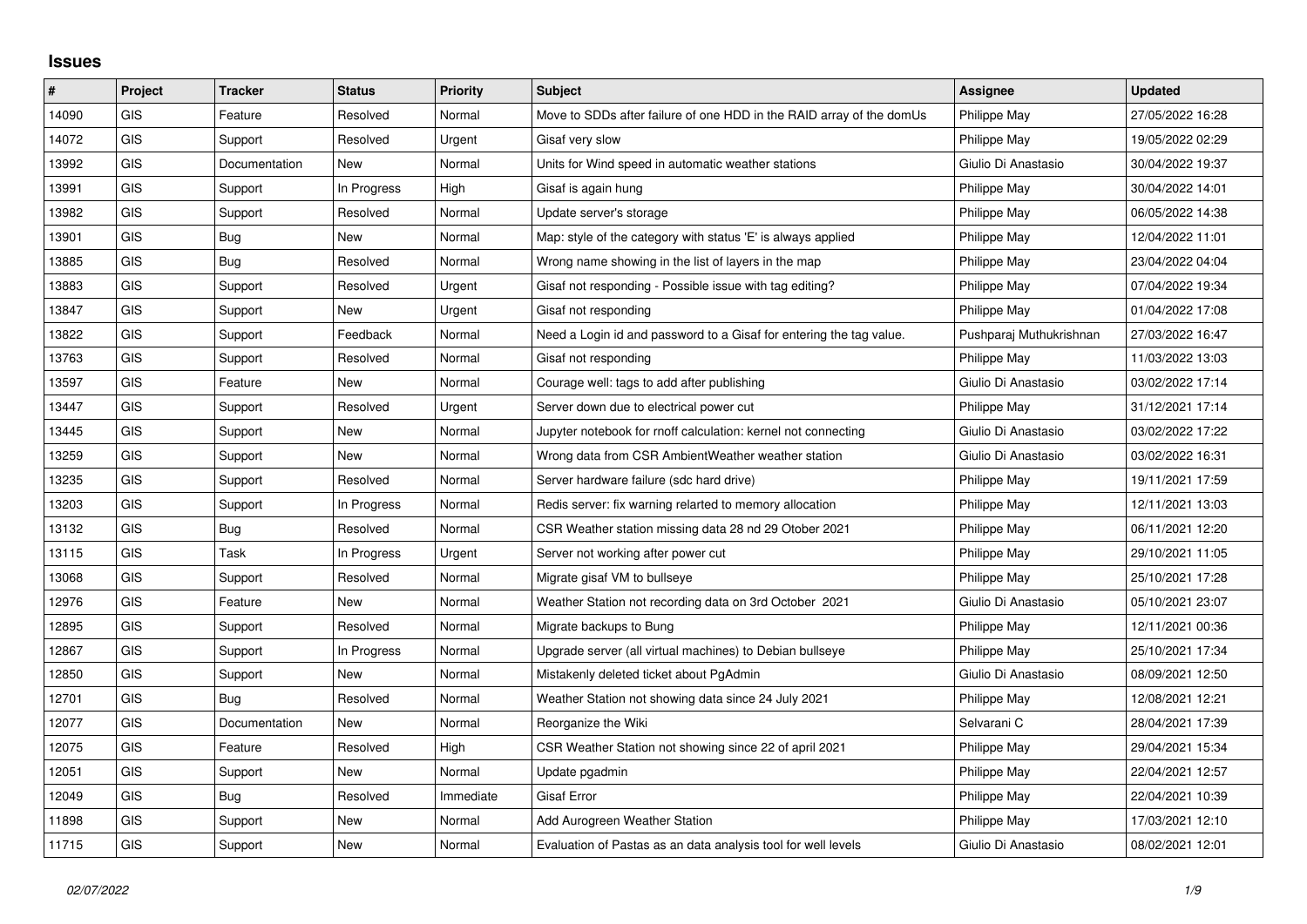## **Issues**

| $\#$  | Project    | <b>Tracker</b> | <b>Status</b> | Priority  | <b>Subject</b>                                                       | Assignee                | <b>Updated</b>   |
|-------|------------|----------------|---------------|-----------|----------------------------------------------------------------------|-------------------------|------------------|
| 14090 | GIS        | Feature        | Resolved      | Normal    | Move to SDDs after failure of one HDD in the RAID array of the domUs | <b>Philippe May</b>     | 27/05/2022 16:28 |
| 14072 | GIS        | Support        | Resolved      | Urgent    | Gisaf very slow                                                      | Philippe May            | 19/05/2022 02:29 |
| 13992 | <b>GIS</b> | Documentation  | New           | Normal    | Units for Wind speed in automatic weather stations                   | Giulio Di Anastasio     | 30/04/2022 19:37 |
| 13991 | GIS        | Support        | In Progress   | High      | Gisaf is again hung                                                  | Philippe May            | 30/04/2022 14:01 |
| 13982 | GIS        | Support        | Resolved      | Normal    | Update server's storage                                              | Philippe May            | 06/05/2022 14:38 |
| 13901 | <b>GIS</b> | Bug            | New           | Normal    | Map: style of the category with status 'E' is always applied         | Philippe May            | 12/04/2022 11:01 |
| 13885 | <b>GIS</b> | Bug            | Resolved      | Normal    | Wrong name showing in the list of layers in the map                  | Philippe May            | 23/04/2022 04:04 |
| 13883 | GIS        | Support        | Resolved      | Urgent    | Gisaf not responding - Possible issue with tag editing?              | Philippe May            | 07/04/2022 19:34 |
| 13847 | <b>GIS</b> | Support        | New           | Urgent    | Gisaf not responding                                                 | Philippe May            | 01/04/2022 17:08 |
| 13822 | GIS        | Support        | Feedback      | Normal    | Need a Login id and password to a Gisaf for entering the tag value.  | Pushparaj Muthukrishnan | 27/03/2022 16:47 |
| 13763 | GIS        | Support        | Resolved      | Normal    | Gisaf not responding                                                 | Philippe May            | 11/03/2022 13:03 |
| 13597 | <b>GIS</b> | Feature        | New           | Normal    | Courage well: tags to add after publishing                           | Giulio Di Anastasio     | 03/02/2022 17:14 |
| 13447 | <b>GIS</b> | Support        | Resolved      | Urgent    | Server down due to electrical power cut                              | Philippe May            | 31/12/2021 17:14 |
| 13445 | GIS        | Support        | New           | Normal    | Jupyter notebook for rnoff calculation: kernel not connecting        | Giulio Di Anastasio     | 03/02/2022 17:22 |
| 13259 | <b>GIS</b> | Support        | <b>New</b>    | Normal    | Wrong data from CSR AmbientWeather weather station                   | Giulio Di Anastasio     | 03/02/2022 16:31 |
| 13235 | GIS        | Support        | Resolved      | Normal    | Server hardware failure (sdc hard drive)                             | Philippe May            | 19/11/2021 17:59 |
| 13203 | GIS        | Support        | In Progress   | Normal    | Redis server: fix warning relarted to memory allocation              | Philippe May            | 12/11/2021 13:03 |
| 13132 | <b>GIS</b> | Bug            | Resolved      | Normal    | CSR Weather station missing data 28 nd 29 Otober 2021                | Philippe May            | 06/11/2021 12:20 |
| 13115 | <b>GIS</b> | Task           | In Progress   | Urgent    | Server not working after power cut                                   | Philippe May            | 29/10/2021 11:05 |
| 13068 | GIS        | Support        | Resolved      | Normal    | Migrate gisaf VM to bullseye                                         | Philippe May            | 25/10/2021 17:28 |
| 12976 | <b>GIS</b> | Feature        | <b>New</b>    | Normal    | Weather Station not recording data on 3rd October 2021               | Giulio Di Anastasio     | 05/10/2021 23:07 |
| 12895 | GIS        | Support        | Resolved      | Normal    | Migrate backups to Bung                                              | <b>Philippe May</b>     | 12/11/2021 00:36 |
| 12867 | GIS        | Support        | In Progress   | Normal    | Upgrade server (all virtual machines) to Debian bullseye             | Philippe May            | 25/10/2021 17:34 |
| 12850 | <b>GIS</b> | Support        | <b>New</b>    | Normal    | Mistakenly deleted ticket about PgAdmin                              | Giulio Di Anastasio     | 08/09/2021 12:50 |
| 12701 | GIS        | Bug            | Resolved      | Normal    | Weather Station not showing data since 24 July 2021                  | Philippe May            | 12/08/2021 12:21 |
| 12077 | GIS        | Documentation  | New           | Normal    | Reorganize the Wiki                                                  | Selvarani C             | 28/04/2021 17:39 |
| 12075 | <b>GIS</b> | Feature        | Resolved      | High      | CSR Weather Station not showing since 22 of april 2021               | Philippe May            | 29/04/2021 15:34 |
| 12051 | <b>GIS</b> | Support        | <b>New</b>    | Normal    | Update pgadmin                                                       | <b>Philippe May</b>     | 22/04/2021 12:57 |
| 12049 | GIS        | <b>Bug</b>     | Resolved      | Immediate | Gisaf Error                                                          | Philippe May            | 22/04/2021 10:39 |
| 11898 | <b>GIS</b> | Support        | <b>New</b>    | Normal    | Add Aurogreen Weather Station                                        | Philippe May            | 17/03/2021 12:10 |
| 11715 | GIS        | Support        | New           | Normal    | Evaluation of Pastas as an data analysis tool for well levels        | Giulio Di Anastasio     | 08/02/2021 12:01 |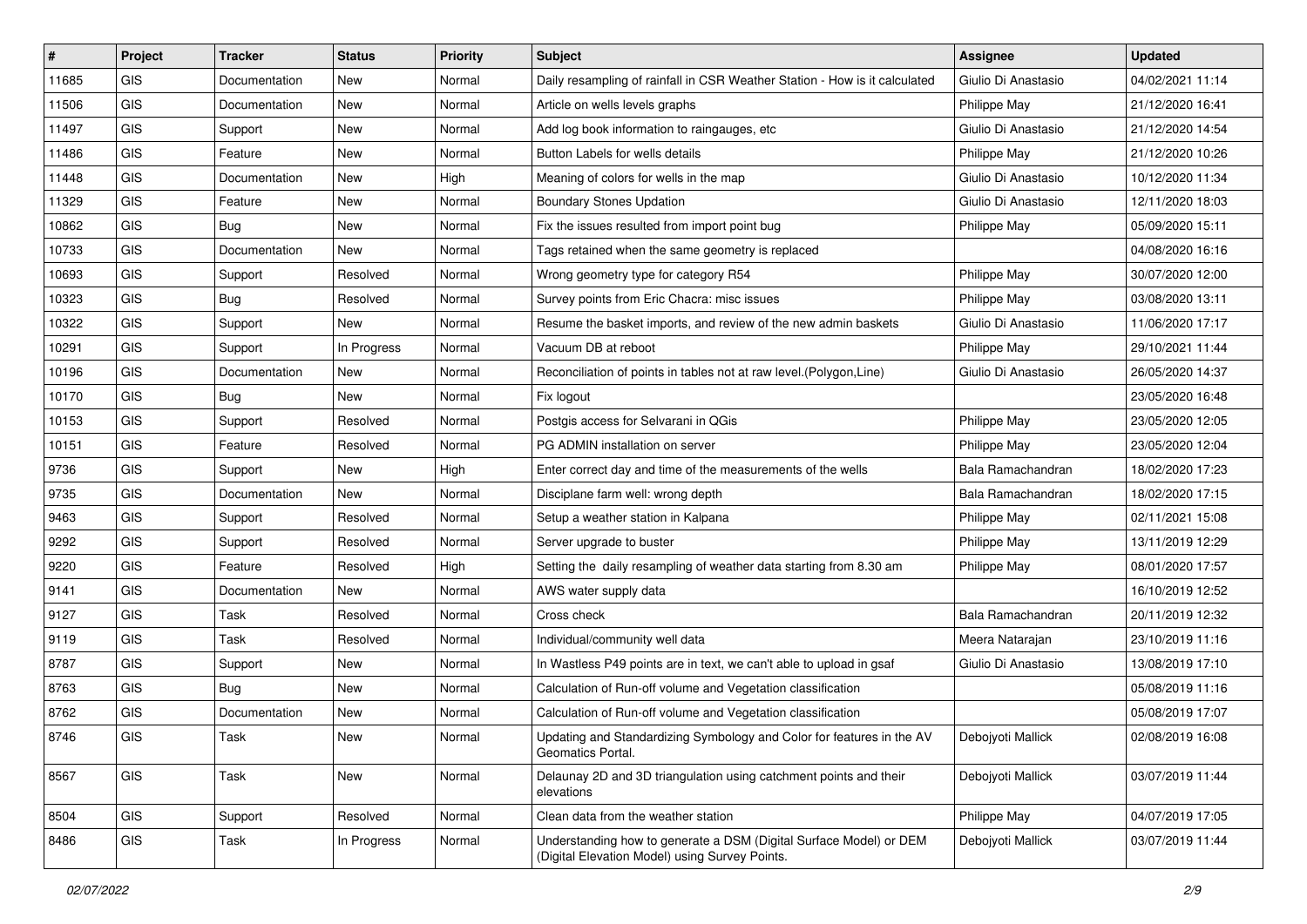| #     | Project    | <b>Tracker</b> | <b>Status</b> | <b>Priority</b> | Subject                                                                                                              | <b>Assignee</b>     | <b>Updated</b>   |
|-------|------------|----------------|---------------|-----------------|----------------------------------------------------------------------------------------------------------------------|---------------------|------------------|
| 11685 | <b>GIS</b> | Documentation  | New           | Normal          | Daily resampling of rainfall in CSR Weather Station - How is it calculated                                           | Giulio Di Anastasio | 04/02/2021 11:14 |
| 11506 | <b>GIS</b> | Documentation  | New           | Normal          | Article on wells levels graphs                                                                                       | Philippe May        | 21/12/2020 16:41 |
| 11497 | GIS        | Support        | New           | Normal          | Add log book information to raingauges, etc                                                                          | Giulio Di Anastasio | 21/12/2020 14:54 |
| 11486 | GIS        | Feature        | New           | Normal          | Button Labels for wells details                                                                                      | Philippe May        | 21/12/2020 10:26 |
| 11448 | <b>GIS</b> | Documentation  | New           | High            | Meaning of colors for wells in the map                                                                               | Giulio Di Anastasio | 10/12/2020 11:34 |
| 11329 | <b>GIS</b> | Feature        | New           | Normal          | <b>Boundary Stones Updation</b>                                                                                      | Giulio Di Anastasio | 12/11/2020 18:03 |
| 10862 | GIS        | <b>Bug</b>     | New           | Normal          | Fix the issues resulted from import point bug                                                                        | Philippe May        | 05/09/2020 15:11 |
| 10733 | GIS        | Documentation  | New           | Normal          | Tags retained when the same geometry is replaced                                                                     |                     | 04/08/2020 16:16 |
| 10693 | GIS        | Support        | Resolved      | Normal          | Wrong geometry type for category R54                                                                                 | Philippe May        | 30/07/2020 12:00 |
| 10323 | <b>GIS</b> | <b>Bug</b>     | Resolved      | Normal          | Survey points from Eric Chacra: misc issues                                                                          | Philippe May        | 03/08/2020 13:11 |
| 10322 | <b>GIS</b> | Support        | New           | Normal          | Resume the basket imports, and review of the new admin baskets                                                       | Giulio Di Anastasio | 11/06/2020 17:17 |
| 10291 | GIS        | Support        | In Progress   | Normal          | Vacuum DB at reboot                                                                                                  | Philippe May        | 29/10/2021 11:44 |
| 10196 | <b>GIS</b> | Documentation  | New           | Normal          | Reconciliation of points in tables not at raw level. (Polygon, Line)                                                 | Giulio Di Anastasio | 26/05/2020 14:37 |
| 10170 | <b>GIS</b> | Bug            | New           | Normal          | Fix logout                                                                                                           |                     | 23/05/2020 16:48 |
| 10153 | <b>GIS</b> | Support        | Resolved      | Normal          | Postgis access for Selvarani in QGis                                                                                 | Philippe May        | 23/05/2020 12:05 |
| 10151 | <b>GIS</b> | Feature        | Resolved      | Normal          | PG ADMIN installation on server                                                                                      | Philippe May        | 23/05/2020 12:04 |
| 9736  | GIS        | Support        | New           | High            | Enter correct day and time of the measurements of the wells                                                          | Bala Ramachandran   | 18/02/2020 17:23 |
| 9735  | <b>GIS</b> | Documentation  | New           | Normal          | Disciplane farm well: wrong depth                                                                                    | Bala Ramachandran   | 18/02/2020 17:15 |
| 9463  | <b>GIS</b> | Support        | Resolved      | Normal          | Setup a weather station in Kalpana                                                                                   | Philippe May        | 02/11/2021 15:08 |
| 9292  | GIS        | Support        | Resolved      | Normal          | Server upgrade to buster                                                                                             | Philippe May        | 13/11/2019 12:29 |
| 9220  | <b>GIS</b> | Feature        | Resolved      | High            | Setting the daily resampling of weather data starting from 8.30 am                                                   | Philippe May        | 08/01/2020 17:57 |
| 9141  | GIS        | Documentation  | New           | Normal          | AWS water supply data                                                                                                |                     | 16/10/2019 12:52 |
| 9127  | <b>GIS</b> | Task           | Resolved      | Normal          | Cross check                                                                                                          | Bala Ramachandran   | 20/11/2019 12:32 |
| 9119  | <b>GIS</b> | Task           | Resolved      | Normal          | Individual/community well data                                                                                       | Meera Natarajan     | 23/10/2019 11:16 |
| 8787  | GIS        | Support        | New           | Normal          | In Wastless P49 points are in text, we can't able to upload in gsaf                                                  | Giulio Di Anastasio | 13/08/2019 17:10 |
| 8763  | GIS        | <b>Bug</b>     | New           | Normal          | Calculation of Run-off volume and Vegetation classification                                                          |                     | 05/08/2019 11:16 |
| 8762  | GIS        | Documentation  | New           | Normal          | Calculation of Run-off volume and Vegetation classification                                                          |                     | 05/08/2019 17:07 |
| 8746  | GIS        | Task           | New           | Normal          | Updating and Standardizing Symbology and Color for features in the AV<br>Geomatics Portal.                           | Debojyoti Mallick   | 02/08/2019 16:08 |
| 8567  | GIS        | Task           | New           | Normal          | Delaunay 2D and 3D triangulation using catchment points and their<br>elevations                                      | Debojyoti Mallick   | 03/07/2019 11:44 |
| 8504  | GIS        | Support        | Resolved      | Normal          | Clean data from the weather station                                                                                  | Philippe May        | 04/07/2019 17:05 |
| 8486  | GIS        | Task           | In Progress   | Normal          | Understanding how to generate a DSM (Digital Surface Model) or DEM<br>(Digital Elevation Model) using Survey Points. | Debojyoti Mallick   | 03/07/2019 11:44 |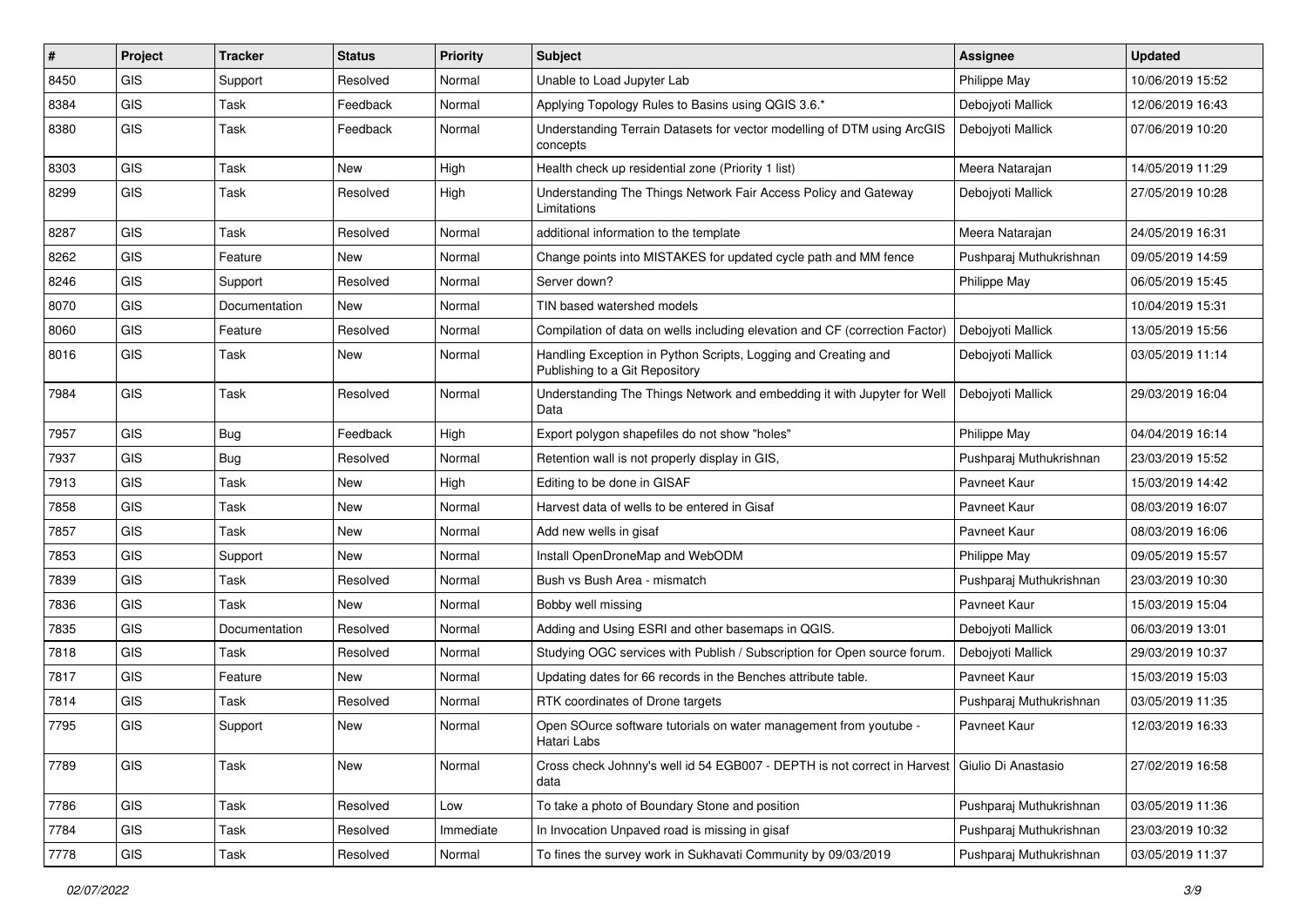| #    | Project        | <b>Tracker</b> | <b>Status</b> | <b>Priority</b> | Subject                                                                                              | Assignee                | <b>Updated</b>   |
|------|----------------|----------------|---------------|-----------------|------------------------------------------------------------------------------------------------------|-------------------------|------------------|
| 8450 | GIS            | Support        | Resolved      | Normal          | Unable to Load Jupyter Lab                                                                           | Philippe May            | 10/06/2019 15:52 |
| 8384 | GIS            | Task           | Feedback      | Normal          | Applying Topology Rules to Basins using QGIS 3.6.*                                                   | Debojyoti Mallick       | 12/06/2019 16:43 |
| 8380 | GIS            | Task           | Feedback      | Normal          | Understanding Terrain Datasets for vector modelling of DTM using ArcGIS<br>concepts                  | Debojyoti Mallick       | 07/06/2019 10:20 |
| 8303 | <b>GIS</b>     | Task           | <b>New</b>    | High            | Health check up residential zone (Priority 1 list)                                                   | Meera Natarajan         | 14/05/2019 11:29 |
| 8299 | GIS            | Task           | Resolved      | High            | Understanding The Things Network Fair Access Policy and Gateway<br>Limitations                       | Debojyoti Mallick       | 27/05/2019 10:28 |
| 8287 | GIS            | Task           | Resolved      | Normal          | additional information to the template                                                               | Meera Natarajan         | 24/05/2019 16:31 |
| 8262 | GIS            | Feature        | New           | Normal          | Change points into MISTAKES for updated cycle path and MM fence                                      | Pushparaj Muthukrishnan | 09/05/2019 14:59 |
| 8246 | GIS            | Support        | Resolved      | Normal          | Server down?                                                                                         | Philippe May            | 06/05/2019 15:45 |
| 8070 | GIS            | Documentation  | New           | Normal          | TIN based watershed models                                                                           |                         | 10/04/2019 15:31 |
| 8060 | GIS            | Feature        | Resolved      | Normal          | Compilation of data on wells including elevation and CF (correction Factor)                          | Debojyoti Mallick       | 13/05/2019 15:56 |
| 8016 | <b>GIS</b>     | Task           | <b>New</b>    | Normal          | Handling Exception in Python Scripts, Logging and Creating and<br>Publishing to a Git Repository     | Debojyoti Mallick       | 03/05/2019 11:14 |
| 7984 | GIS            | Task           | Resolved      | Normal          | Understanding The Things Network and embedding it with Jupyter for Well<br>Data                      | Debojyoti Mallick       | 29/03/2019 16:04 |
| 7957 | GIS            | Bug            | Feedback      | High            | Export polygon shapefiles do not show "holes"                                                        | Philippe May            | 04/04/2019 16:14 |
| 7937 | GIS            | <b>Bug</b>     | Resolved      | Normal          | Retention wall is not properly display in GIS,                                                       | Pushparaj Muthukrishnan | 23/03/2019 15:52 |
| 7913 | GIS            | Task           | New           | High            | Editing to be done in GISAF                                                                          | Pavneet Kaur            | 15/03/2019 14:42 |
| 7858 | GIS            | Task           | New           | Normal          | Harvest data of wells to be entered in Gisaf                                                         | Pavneet Kaur            | 08/03/2019 16:07 |
| 7857 | GIS            | Task           | <b>New</b>    | Normal          | Add new wells in gisaf                                                                               | Pavneet Kaur            | 08/03/2019 16:06 |
| 7853 | <b>GIS</b>     | Support        | New           | Normal          | Install OpenDroneMap and WebODM                                                                      | Philippe May            | 09/05/2019 15:57 |
| 7839 | <b>GIS</b>     | Task           | Resolved      | Normal          | Bush vs Bush Area - mismatch                                                                         | Pushparaj Muthukrishnan | 23/03/2019 10:30 |
| 7836 | GIS            | Task           | New           | Normal          | Bobby well missing                                                                                   | Pavneet Kaur            | 15/03/2019 15:04 |
| 7835 | GIS            | Documentation  | Resolved      | Normal          | Adding and Using ESRI and other basemaps in QGIS.                                                    | Debojyoti Mallick       | 06/03/2019 13:01 |
| 7818 | GIS            | Task           | Resolved      | Normal          | Studying OGC services with Publish / Subscription for Open source forum.                             | Debojyoti Mallick       | 29/03/2019 10:37 |
| 7817 | GIS            | Feature        | New           | Normal          | Updating dates for 66 records in the Benches attribute table.                                        | Pavneet Kaur            | 15/03/2019 15:03 |
| 7814 | <b>GIS</b>     | Task           | Resolved      | Normal          | RTK coordinates of Drone targets                                                                     | Pushparaj Muthukrishnan | 03/05/2019 11:35 |
| 7795 | GIS            | Support        | New           | Normal          | Open SOurce software tutorials on water management from youtube -<br>Hatari Labs                     | Pavneet Kaur            | 12/03/2019 16:33 |
| 7789 | GIS            | Task           | <b>New</b>    | Normal          | Cross check Johnny's well id 54 EGB007 - DEPTH is not correct in Harvest Giulio Di Anastasio<br>data |                         | 27/02/2019 16:58 |
| 7786 | GIS            | Task           | Resolved      | Low             | To take a photo of Boundary Stone and position                                                       | Pushparaj Muthukrishnan | 03/05/2019 11:36 |
| 7784 | GIS            | Task           | Resolved      | Immediate       | In Invocation Unpaved road is missing in gisaf                                                       | Pushparaj Muthukrishnan | 23/03/2019 10:32 |
| 7778 | $\mathsf{GIS}$ | Task           | Resolved      | Normal          | To fines the survey work in Sukhavati Community by 09/03/2019                                        | Pushparaj Muthukrishnan | 03/05/2019 11:37 |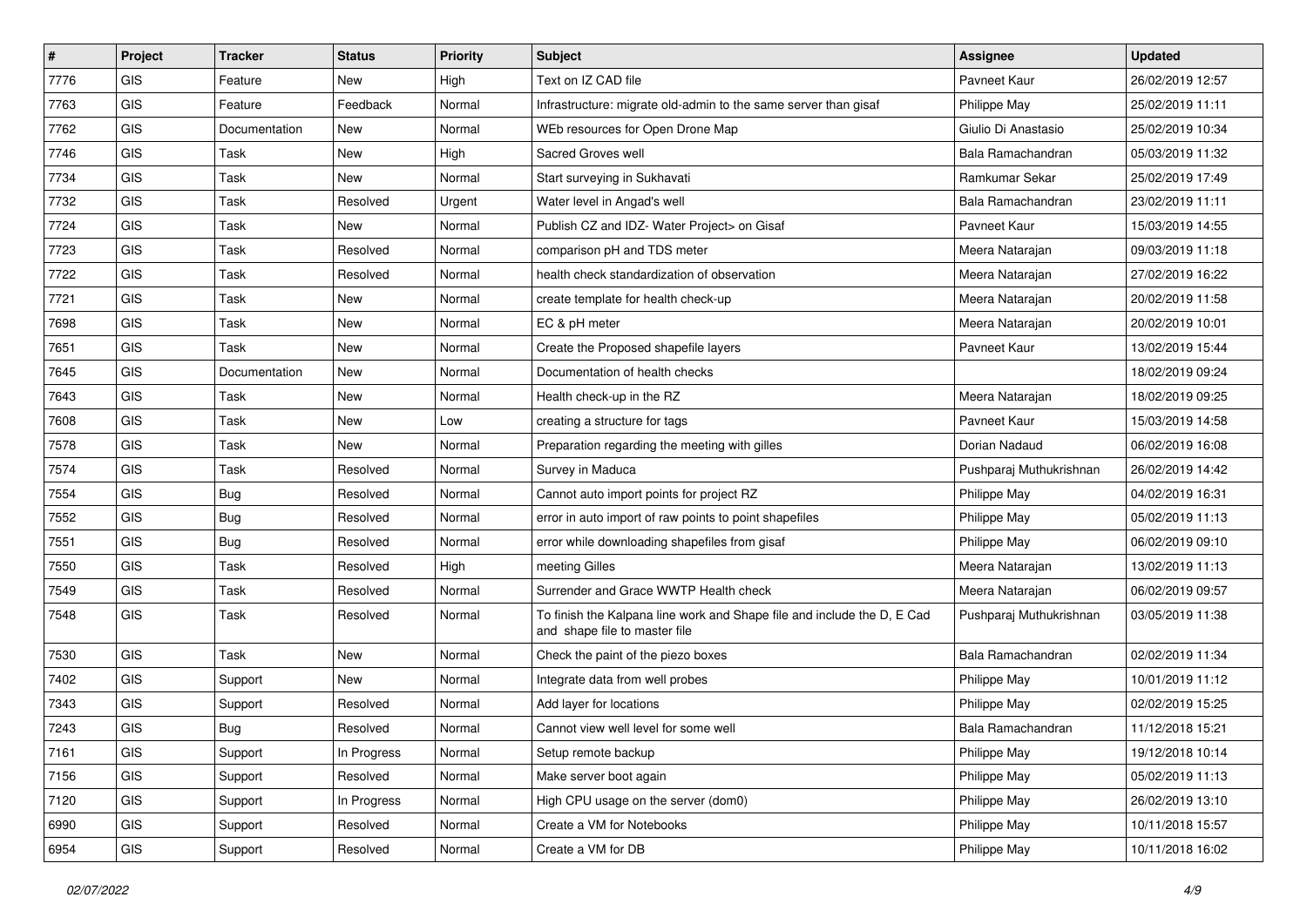| #    | Project        | <b>Tracker</b> | <b>Status</b> | <b>Priority</b> | <b>Subject</b>                                                                                           | <b>Assignee</b>         | <b>Updated</b>   |
|------|----------------|----------------|---------------|-----------------|----------------------------------------------------------------------------------------------------------|-------------------------|------------------|
| 7776 | GIS            | Feature        | New           | High            | Text on IZ CAD file                                                                                      | Pavneet Kaur            | 26/02/2019 12:57 |
| 7763 | GIS            | Feature        | Feedback      | Normal          | Infrastructure: migrate old-admin to the same server than gisaf                                          | Philippe May            | 25/02/2019 11:11 |
| 7762 | <b>GIS</b>     | Documentation  | New           | Normal          | WEb resources for Open Drone Map                                                                         | Giulio Di Anastasio     | 25/02/2019 10:34 |
| 7746 | GIS            | Task           | <b>New</b>    | High            | Sacred Groves well                                                                                       | Bala Ramachandran       | 05/03/2019 11:32 |
| 7734 | GIS            | Task           | New           | Normal          | Start surveying in Sukhavati                                                                             | Ramkumar Sekar          | 25/02/2019 17:49 |
| 7732 | GIS            | Task           | Resolved      | Urgent          | Water level in Angad's well                                                                              | Bala Ramachandran       | 23/02/2019 11:11 |
| 7724 | GIS            | Task           | New           | Normal          | Publish CZ and IDZ- Water Project> on Gisaf                                                              | Pavneet Kaur            | 15/03/2019 14:55 |
| 7723 | GIS            | Task           | Resolved      | Normal          | comparison pH and TDS meter                                                                              | Meera Natarajan         | 09/03/2019 11:18 |
| 7722 | GIS            | Task           | Resolved      | Normal          | health check standardization of observation                                                              | Meera Natarajan         | 27/02/2019 16:22 |
| 7721 | GIS            | Task           | New           | Normal          | create template for health check-up                                                                      | Meera Natarajan         | 20/02/2019 11:58 |
| 7698 | GIS            | Task           | New           | Normal          | EC & pH meter                                                                                            | Meera Natarajan         | 20/02/2019 10:01 |
| 7651 | GIS            | Task           | New           | Normal          | Create the Proposed shapefile layers                                                                     | Pavneet Kaur            | 13/02/2019 15:44 |
| 7645 | <b>GIS</b>     | Documentation  | <b>New</b>    | Normal          | Documentation of health checks                                                                           |                         | 18/02/2019 09:24 |
| 7643 | GIS            | Task           | New           | Normal          | Health check-up in the RZ                                                                                | Meera Natarajan         | 18/02/2019 09:25 |
| 7608 | <b>GIS</b>     | Task           | <b>New</b>    | Low             | creating a structure for tags                                                                            | Pavneet Kaur            | 15/03/2019 14:58 |
| 7578 | <b>GIS</b>     | Task           | New           | Normal          | Preparation regarding the meeting with gilles                                                            | Dorian Nadaud           | 06/02/2019 16:08 |
| 7574 | GIS            | Task           | Resolved      | Normal          | Survey in Maduca                                                                                         | Pushparaj Muthukrishnan | 26/02/2019 14:42 |
| 7554 | GIS            | Bug            | Resolved      | Normal          | Cannot auto import points for project RZ                                                                 | Philippe May            | 04/02/2019 16:31 |
| 7552 | GIS            | <b>Bug</b>     | Resolved      | Normal          | error in auto import of raw points to point shapefiles                                                   | Philippe May            | 05/02/2019 11:13 |
| 7551 | GIS            | Bug            | Resolved      | Normal          | error while downloading shapefiles from gisaf                                                            | Philippe May            | 06/02/2019 09:10 |
| 7550 | GIS            | Task           | Resolved      | High            | meeting Gilles                                                                                           | Meera Natarajan         | 13/02/2019 11:13 |
| 7549 | GIS            | Task           | Resolved      | Normal          | Surrender and Grace WWTP Health check                                                                    | Meera Natarajan         | 06/02/2019 09:57 |
| 7548 | GIS            | Task           | Resolved      | Normal          | To finish the Kalpana line work and Shape file and include the D, E Cad<br>and shape file to master file | Pushparaj Muthukrishnan | 03/05/2019 11:38 |
| 7530 | GIS            | Task           | New           | Normal          | Check the paint of the piezo boxes                                                                       | Bala Ramachandran       | 02/02/2019 11:34 |
| 7402 | GIS            | Support        | New           | Normal          | Integrate data from well probes                                                                          | Philippe May            | 10/01/2019 11:12 |
| 7343 | GIS            | Support        | Resolved      | Normal          | Add layer for locations                                                                                  | Philippe May            | 02/02/2019 15:25 |
| 7243 | GIS            | <b>Bug</b>     | Resolved      | Normal          | Cannot view well level for some well                                                                     | Bala Ramachandran       | 11/12/2018 15:21 |
| 7161 | GIS            | Support        | In Progress   | Normal          | Setup remote backup                                                                                      | Philippe May            | 19/12/2018 10:14 |
| 7156 | GIS            | Support        | Resolved      | Normal          | Make server boot again                                                                                   | Philippe May            | 05/02/2019 11:13 |
| 7120 | GIS            | Support        | In Progress   | Normal          | High CPU usage on the server (dom0)                                                                      | Philippe May            | 26/02/2019 13:10 |
| 6990 | GIS            | Support        | Resolved      | Normal          | Create a VM for Notebooks                                                                                | Philippe May            | 10/11/2018 15:57 |
| 6954 | $\mathsf{GIS}$ | Support        | Resolved      | Normal          | Create a VM for DB                                                                                       | Philippe May            | 10/11/2018 16:02 |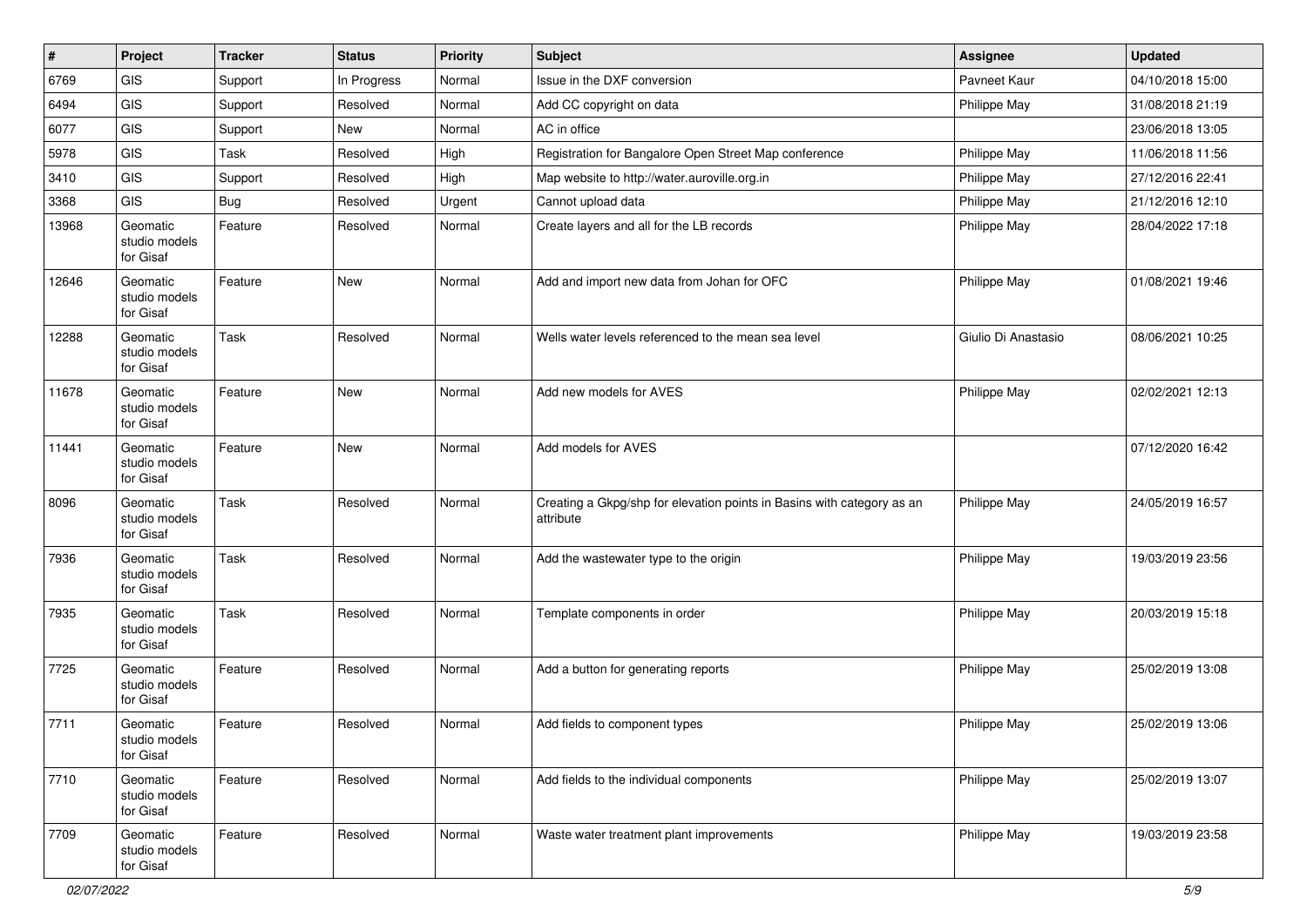| $\vert$ # | Project                                | <b>Tracker</b> | <b>Status</b> | <b>Priority</b> | <b>Subject</b>                                                                      | <b>Assignee</b>     | <b>Updated</b>   |
|-----------|----------------------------------------|----------------|---------------|-----------------|-------------------------------------------------------------------------------------|---------------------|------------------|
| 6769      | GIS                                    | Support        | In Progress   | Normal          | Issue in the DXF conversion                                                         | Pavneet Kaur        | 04/10/2018 15:00 |
| 6494      | GIS                                    | Support        | Resolved      | Normal          | Add CC copyright on data                                                            | Philippe May        | 31/08/2018 21:19 |
| 6077      | GIS                                    | Support        | New           | Normal          | AC in office                                                                        |                     | 23/06/2018 13:05 |
| 5978      | GIS                                    | Task           | Resolved      | High            | Registration for Bangalore Open Street Map conference                               | Philippe May        | 11/06/2018 11:56 |
| 3410      | GIS                                    | Support        | Resolved      | High            | Map website to http://water.auroville.org.in                                        | Philippe May        | 27/12/2016 22:41 |
| 3368      | <b>GIS</b>                             | Bug            | Resolved      | Urgent          | Cannot upload data                                                                  | Philippe May        | 21/12/2016 12:10 |
| 13968     | Geomatic<br>studio models<br>for Gisaf | Feature        | Resolved      | Normal          | Create layers and all for the LB records                                            | Philippe May        | 28/04/2022 17:18 |
| 12646     | Geomatic<br>studio models<br>for Gisaf | Feature        | <b>New</b>    | Normal          | Add and import new data from Johan for OFC                                          | Philippe May        | 01/08/2021 19:46 |
| 12288     | Geomatic<br>studio models<br>for Gisaf | Task           | Resolved      | Normal          | Wells water levels referenced to the mean sea level                                 | Giulio Di Anastasio | 08/06/2021 10:25 |
| 11678     | Geomatic<br>studio models<br>for Gisaf | Feature        | <b>New</b>    | Normal          | Add new models for AVES                                                             | Philippe May        | 02/02/2021 12:13 |
| 11441     | Geomatic<br>studio models<br>for Gisaf | Feature        | <b>New</b>    | Normal          | Add models for AVES                                                                 |                     | 07/12/2020 16:42 |
| 8096      | Geomatic<br>studio models<br>for Gisaf | Task           | Resolved      | Normal          | Creating a Gkpg/shp for elevation points in Basins with category as an<br>attribute | Philippe May        | 24/05/2019 16:57 |
| 7936      | Geomatic<br>studio models<br>for Gisaf | Task           | Resolved      | Normal          | Add the wastewater type to the origin                                               | Philippe May        | 19/03/2019 23:56 |
| 7935      | Geomatic<br>studio models<br>for Gisaf | Task           | Resolved      | Normal          | Template components in order                                                        | Philippe May        | 20/03/2019 15:18 |
| 7725      | Geomatic<br>studio models<br>for Gisaf | Feature        | Resolved      | Normal          | Add a button for generating reports                                                 | Philippe May        | 25/02/2019 13:08 |
| 7711      | Geomatic<br>studio models<br>for Gisaf | Feature        | Resolved      | Normal          | Add fields to component types                                                       | Philippe May        | 25/02/2019 13:06 |
| 7710      | Geomatic<br>studio models<br>for Gisaf | Feature        | Resolved      | Normal          | Add fields to the individual components                                             | Philippe May        | 25/02/2019 13:07 |
| 7709      | Geomatic<br>studio models<br>for Gisaf | Feature        | Resolved      | Normal          | Waste water treatment plant improvements                                            | Philippe May        | 19/03/2019 23:58 |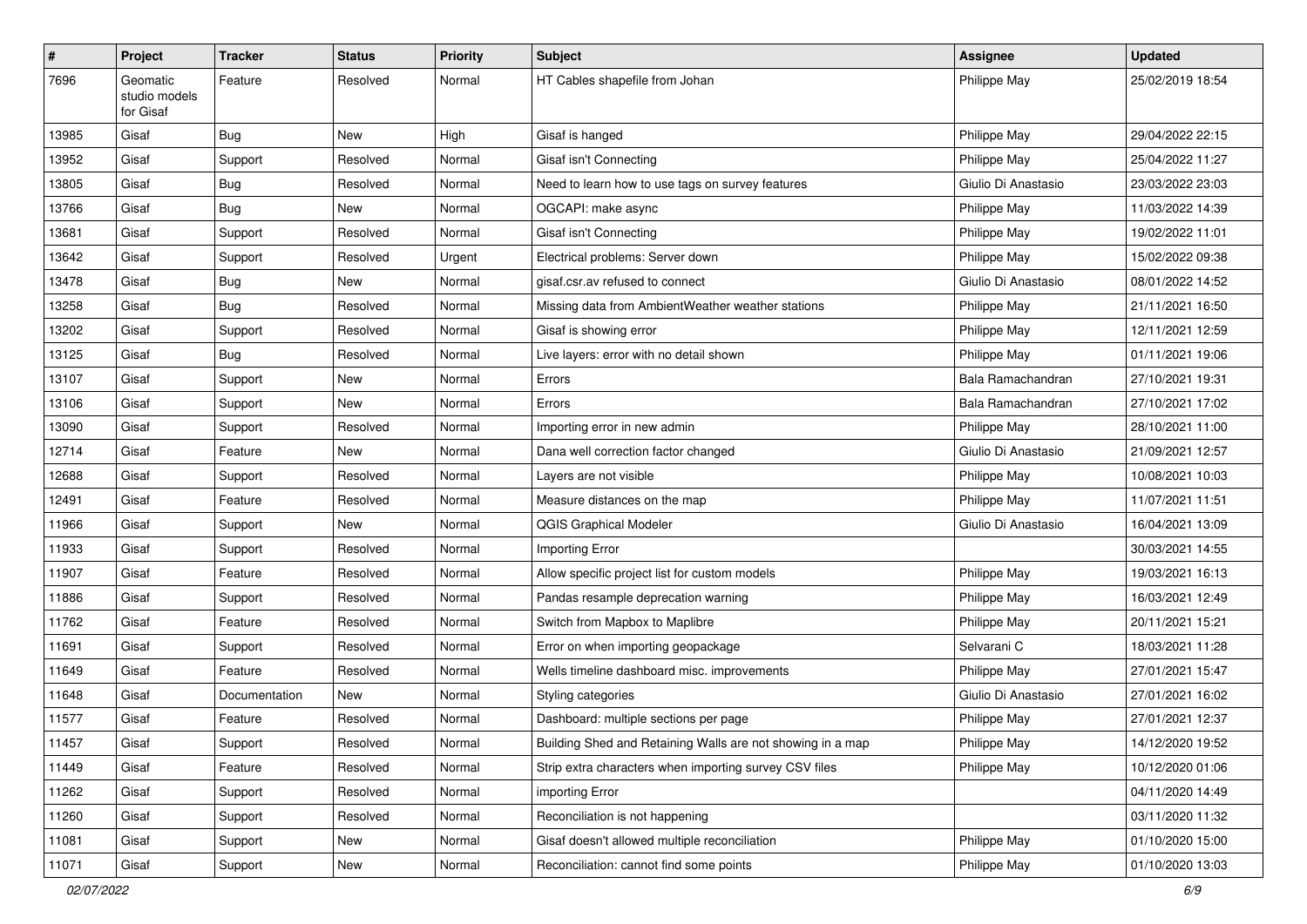| $\vert$ # | Project                                | <b>Tracker</b> | <b>Status</b> | <b>Priority</b> | <b>Subject</b>                                             | Assignee            | <b>Updated</b>   |
|-----------|----------------------------------------|----------------|---------------|-----------------|------------------------------------------------------------|---------------------|------------------|
| 7696      | Geomatic<br>studio models<br>for Gisaf | Feature        | Resolved      | Normal          | HT Cables shapefile from Johan                             | Philippe May        | 25/02/2019 18:54 |
| 13985     | Gisaf                                  | Bug            | New           | High            | Gisaf is hanged                                            | Philippe May        | 29/04/2022 22:15 |
| 13952     | Gisaf                                  | Support        | Resolved      | Normal          | Gisaf isn't Connecting                                     | Philippe May        | 25/04/2022 11:27 |
| 13805     | Gisaf                                  | Bug            | Resolved      | Normal          | Need to learn how to use tags on survey features           | Giulio Di Anastasio | 23/03/2022 23:03 |
| 13766     | Gisaf                                  | Bug            | New           | Normal          | OGCAPI: make async                                         | Philippe May        | 11/03/2022 14:39 |
| 13681     | Gisaf                                  | Support        | Resolved      | Normal          | Gisaf isn't Connecting                                     | Philippe May        | 19/02/2022 11:01 |
| 13642     | Gisaf                                  | Support        | Resolved      | Urgent          | Electrical problems: Server down                           | Philippe May        | 15/02/2022 09:38 |
| 13478     | Gisaf                                  | Bug            | New           | Normal          | gisaf.csr.av refused to connect                            | Giulio Di Anastasio | 08/01/2022 14:52 |
| 13258     | Gisaf                                  | Bug            | Resolved      | Normal          | Missing data from AmbientWeather weather stations          | Philippe May        | 21/11/2021 16:50 |
| 13202     | Gisaf                                  | Support        | Resolved      | Normal          | Gisaf is showing error                                     | Philippe May        | 12/11/2021 12:59 |
| 13125     | Gisaf                                  | <b>Bug</b>     | Resolved      | Normal          | Live layers: error with no detail shown                    | Philippe May        | 01/11/2021 19:06 |
| 13107     | Gisaf                                  | Support        | New           | Normal          | Errors                                                     | Bala Ramachandran   | 27/10/2021 19:31 |
| 13106     | Gisaf                                  | Support        | New           | Normal          | Errors                                                     | Bala Ramachandran   | 27/10/2021 17:02 |
| 13090     | Gisaf                                  | Support        | Resolved      | Normal          | Importing error in new admin                               | Philippe May        | 28/10/2021 11:00 |
| 12714     | Gisaf                                  | Feature        | New           | Normal          | Dana well correction factor changed                        | Giulio Di Anastasio | 21/09/2021 12:57 |
| 12688     | Gisaf                                  | Support        | Resolved      | Normal          | Layers are not visible                                     | Philippe May        | 10/08/2021 10:03 |
| 12491     | Gisaf                                  | Feature        | Resolved      | Normal          | Measure distances on the map                               | Philippe May        | 11/07/2021 11:51 |
| 11966     | Gisaf                                  | Support        | New           | Normal          | <b>QGIS Graphical Modeler</b>                              | Giulio Di Anastasio | 16/04/2021 13:09 |
| 11933     | Gisaf                                  | Support        | Resolved      | Normal          | Importing Error                                            |                     | 30/03/2021 14:55 |
| 11907     | Gisaf                                  | Feature        | Resolved      | Normal          | Allow specific project list for custom models              | Philippe May        | 19/03/2021 16:13 |
| 11886     | Gisaf                                  | Support        | Resolved      | Normal          | Pandas resample deprecation warning                        | Philippe May        | 16/03/2021 12:49 |
| 11762     | Gisaf                                  | Feature        | Resolved      | Normal          | Switch from Mapbox to Maplibre                             | Philippe May        | 20/11/2021 15:21 |
| 11691     | Gisaf                                  | Support        | Resolved      | Normal          | Error on when importing geopackage                         | Selvarani C         | 18/03/2021 11:28 |
| 11649     | Gisaf                                  | Feature        | Resolved      | Normal          | Wells timeline dashboard misc. improvements                | Philippe May        | 27/01/2021 15:47 |
| 11648     | Gisaf                                  | Documentation  | New           | Normal          | Styling categories                                         | Giulio Di Anastasio | 27/01/2021 16:02 |
| 11577     | Gisaf                                  | Feature        | Resolved      | Normal          | Dashboard: multiple sections per page                      | Philippe May        | 27/01/2021 12:37 |
| 11457     | Gisaf                                  | Support        | Resolved      | Normal          | Building Shed and Retaining Walls are not showing in a map | <b>Philippe May</b> | 14/12/2020 19:52 |
| 11449     | Gisaf                                  | Feature        | Resolved      | Normal          | Strip extra characters when importing survey CSV files     | Philippe May        | 10/12/2020 01:06 |
| 11262     | Gisaf                                  | Support        | Resolved      | Normal          | importing Error                                            |                     | 04/11/2020 14:49 |
| 11260     | Gisaf                                  | Support        | Resolved      | Normal          | Reconciliation is not happening                            |                     | 03/11/2020 11:32 |
| 11081     | Gisaf                                  | Support        | New           | Normal          | Gisaf doesn't allowed multiple reconciliation              | Philippe May        | 01/10/2020 15:00 |
| 11071     | Gisaf                                  | Support        | New           | Normal          | Reconciliation: cannot find some points                    | Philippe May        | 01/10/2020 13:03 |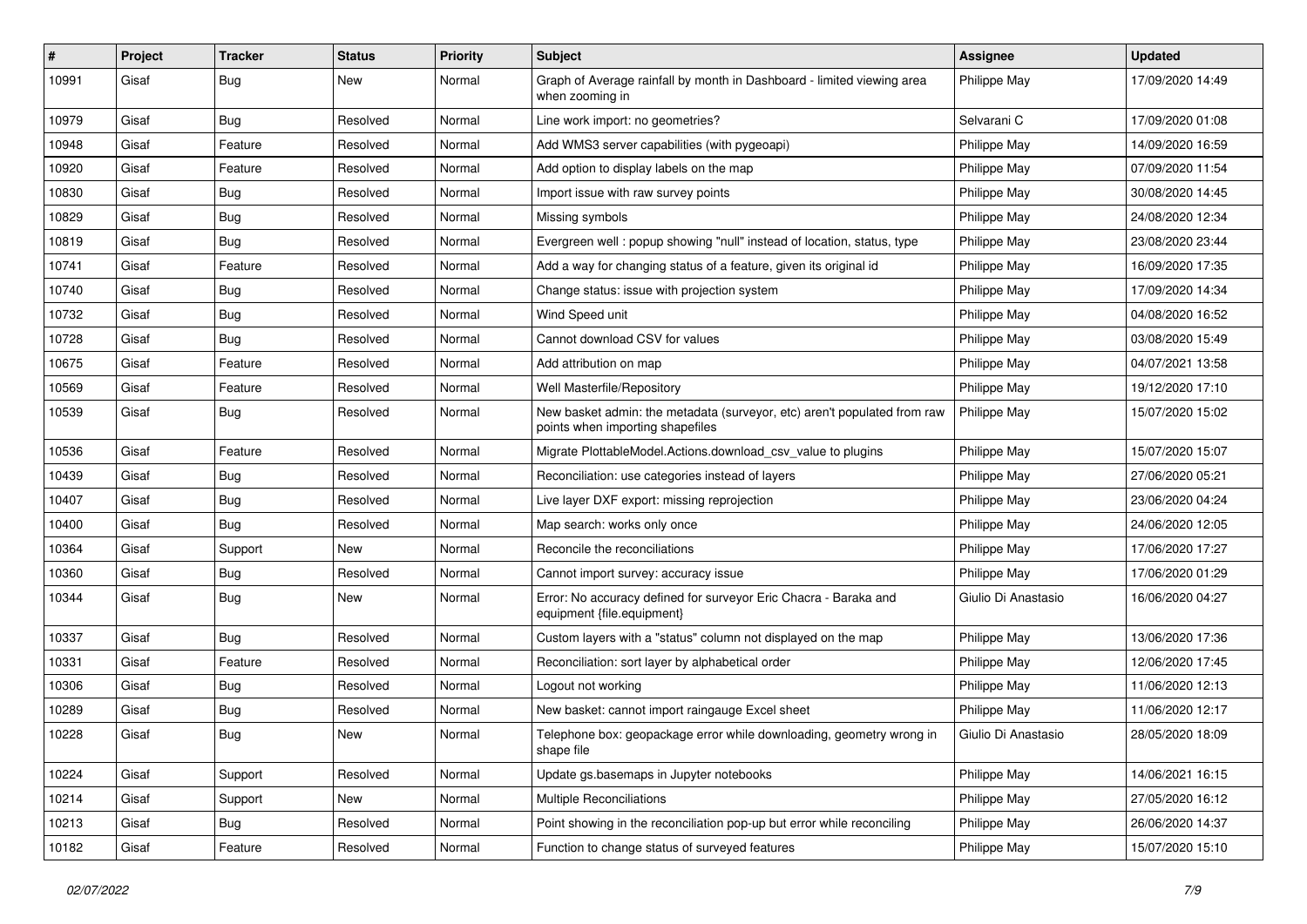| #     | Project | <b>Tracker</b> | <b>Status</b> | <b>Priority</b> | Subject                                                                                                      | Assignee            | <b>Updated</b>   |
|-------|---------|----------------|---------------|-----------------|--------------------------------------------------------------------------------------------------------------|---------------------|------------------|
| 10991 | Gisaf   | Bug            | <b>New</b>    | Normal          | Graph of Average rainfall by month in Dashboard - limited viewing area<br>when zooming in                    | Philippe May        | 17/09/2020 14:49 |
| 10979 | Gisaf   | Bug            | Resolved      | Normal          | Line work import: no geometries?                                                                             | Selvarani C         | 17/09/2020 01:08 |
| 10948 | Gisaf   | Feature        | Resolved      | Normal          | Add WMS3 server capabilities (with pygeoapi)                                                                 | Philippe May        | 14/09/2020 16:59 |
| 10920 | Gisaf   | Feature        | Resolved      | Normal          | Add option to display labels on the map                                                                      | Philippe May        | 07/09/2020 11:54 |
| 10830 | Gisaf   | Bug            | Resolved      | Normal          | Import issue with raw survey points                                                                          | Philippe May        | 30/08/2020 14:45 |
| 10829 | Gisaf   | <b>Bug</b>     | Resolved      | Normal          | Missing symbols                                                                                              | Philippe May        | 24/08/2020 12:34 |
| 10819 | Gisaf   | Bug            | Resolved      | Normal          | Evergreen well: popup showing "null" instead of location, status, type                                       | Philippe May        | 23/08/2020 23:44 |
| 10741 | Gisaf   | Feature        | Resolved      | Normal          | Add a way for changing status of a feature, given its original id                                            | Philippe May        | 16/09/2020 17:35 |
| 10740 | Gisaf   | Bug            | Resolved      | Normal          | Change status: issue with projection system                                                                  | Philippe May        | 17/09/2020 14:34 |
| 10732 | Gisaf   | Bug            | Resolved      | Normal          | Wind Speed unit                                                                                              | Philippe May        | 04/08/2020 16:52 |
| 10728 | Gisaf   | Bug            | Resolved      | Normal          | Cannot download CSV for values                                                                               | Philippe May        | 03/08/2020 15:49 |
| 10675 | Gisaf   | Feature        | Resolved      | Normal          | Add attribution on map                                                                                       | Philippe May        | 04/07/2021 13:58 |
| 10569 | Gisaf   | Feature        | Resolved      | Normal          | Well Masterfile/Repository                                                                                   | Philippe May        | 19/12/2020 17:10 |
| 10539 | Gisaf   | Bug            | Resolved      | Normal          | New basket admin: the metadata (surveyor, etc) aren't populated from raw<br>points when importing shapefiles | Philippe May        | 15/07/2020 15:02 |
| 10536 | Gisaf   | Feature        | Resolved      | Normal          | Migrate PlottableModel.Actions.download csv value to plugins                                                 | Philippe May        | 15/07/2020 15:07 |
| 10439 | Gisaf   | Bug            | Resolved      | Normal          | Reconciliation: use categories instead of layers                                                             | Philippe May        | 27/06/2020 05:21 |
| 10407 | Gisaf   | Bug            | Resolved      | Normal          | Live layer DXF export: missing reprojection                                                                  | Philippe May        | 23/06/2020 04:24 |
| 10400 | Gisaf   | Bug            | Resolved      | Normal          | Map search: works only once                                                                                  | Philippe May        | 24/06/2020 12:05 |
| 10364 | Gisaf   | Support        | New           | Normal          | Reconcile the reconciliations                                                                                | Philippe May        | 17/06/2020 17:27 |
| 10360 | Gisaf   | <b>Bug</b>     | Resolved      | Normal          | Cannot import survey: accuracy issue                                                                         | Philippe May        | 17/06/2020 01:29 |
| 10344 | Gisaf   | Bug            | <b>New</b>    | Normal          | Error: No accuracy defined for surveyor Eric Chacra - Baraka and<br>equipment {file.equipment}               | Giulio Di Anastasio | 16/06/2020 04:27 |
| 10337 | Gisaf   | Bug            | Resolved      | Normal          | Custom layers with a "status" column not displayed on the map                                                | Philippe May        | 13/06/2020 17:36 |
| 10331 | Gisaf   | Feature        | Resolved      | Normal          | Reconciliation: sort layer by alphabetical order                                                             | Philippe May        | 12/06/2020 17:45 |
| 10306 | Gisaf   | Bug            | Resolved      | Normal          | Logout not working                                                                                           | Philippe May        | 11/06/2020 12:13 |
| 10289 | Gisaf   | Bug            | Resolved      | Normal          | New basket: cannot import raingauge Excel sheet                                                              | Philippe May        | 11/06/2020 12:17 |
| 10228 | Gisaf   | i Bug          | <b>New</b>    | Normal          | Telephone box: geopackage error while downloading, geometry wrong in<br>shape file                           | Giulio Di Anastasio | 28/05/2020 18:09 |
| 10224 | Gisaf   | Support        | Resolved      | Normal          | Update gs.basemaps in Jupyter notebooks                                                                      | Philippe May        | 14/06/2021 16:15 |
| 10214 | Gisaf   | Support        | New           | Normal          | Multiple Reconciliations                                                                                     | Philippe May        | 27/05/2020 16:12 |
| 10213 | Gisaf   | <b>Bug</b>     | Resolved      | Normal          | Point showing in the reconciliation pop-up but error while reconciling                                       | Philippe May        | 26/06/2020 14:37 |
| 10182 | Gisaf   | Feature        | Resolved      | Normal          | Function to change status of surveyed features                                                               | Philippe May        | 15/07/2020 15:10 |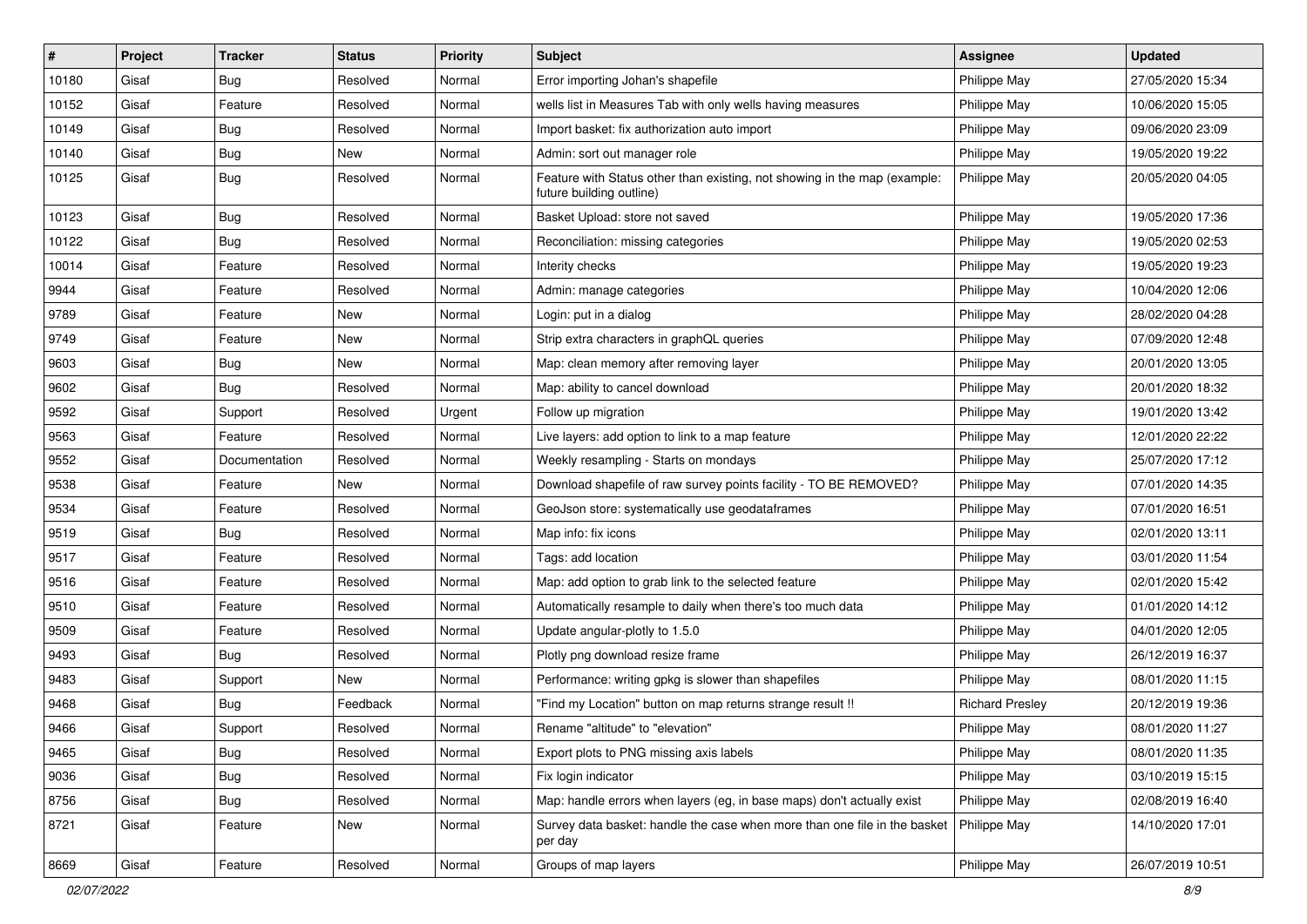| #     | Project | <b>Tracker</b> | <b>Status</b> | <b>Priority</b> | Subject                                                                                               | <b>Assignee</b>        | <b>Updated</b>   |
|-------|---------|----------------|---------------|-----------------|-------------------------------------------------------------------------------------------------------|------------------------|------------------|
| 10180 | Gisaf   | Bug            | Resolved      | Normal          | Error importing Johan's shapefile                                                                     | Philippe May           | 27/05/2020 15:34 |
| 10152 | Gisaf   | Feature        | Resolved      | Normal          | wells list in Measures Tab with only wells having measures                                            | Philippe May           | 10/06/2020 15:05 |
| 10149 | Gisaf   | Bug            | Resolved      | Normal          | Import basket: fix authorization auto import                                                          | Philippe May           | 09/06/2020 23:09 |
| 10140 | Gisaf   | <b>Bug</b>     | New           | Normal          | Admin: sort out manager role                                                                          | Philippe May           | 19/05/2020 19:22 |
| 10125 | Gisaf   | <b>Bug</b>     | Resolved      | Normal          | Feature with Status other than existing, not showing in the map (example:<br>future building outline) | Philippe May           | 20/05/2020 04:05 |
| 10123 | Gisaf   | Bug            | Resolved      | Normal          | Basket Upload: store not saved                                                                        | Philippe May           | 19/05/2020 17:36 |
| 10122 | Gisaf   | Bug            | Resolved      | Normal          | Reconciliation: missing categories                                                                    | Philippe May           | 19/05/2020 02:53 |
| 10014 | Gisaf   | Feature        | Resolved      | Normal          | Interity checks                                                                                       | Philippe May           | 19/05/2020 19:23 |
| 9944  | Gisaf   | Feature        | Resolved      | Normal          | Admin: manage categories                                                                              | Philippe May           | 10/04/2020 12:06 |
| 9789  | Gisaf   | Feature        | New           | Normal          | Login: put in a dialog                                                                                | Philippe May           | 28/02/2020 04:28 |
| 9749  | Gisaf   | Feature        | New           | Normal          | Strip extra characters in graphQL queries                                                             | Philippe May           | 07/09/2020 12:48 |
| 9603  | Gisaf   | <b>Bug</b>     | New           | Normal          | Map: clean memory after removing layer                                                                | Philippe May           | 20/01/2020 13:05 |
| 9602  | Gisaf   | Bug            | Resolved      | Normal          | Map: ability to cancel download                                                                       | Philippe May           | 20/01/2020 18:32 |
| 9592  | Gisaf   | Support        | Resolved      | Urgent          | Follow up migration                                                                                   | Philippe May           | 19/01/2020 13:42 |
| 9563  | Gisaf   | Feature        | Resolved      | Normal          | Live layers: add option to link to a map feature                                                      | Philippe May           | 12/01/2020 22:22 |
| 9552  | Gisaf   | Documentation  | Resolved      | Normal          | Weekly resampling - Starts on mondays                                                                 | Philippe May           | 25/07/2020 17:12 |
| 9538  | Gisaf   | Feature        | New           | Normal          | Download shapefile of raw survey points facility - TO BE REMOVED?                                     | Philippe May           | 07/01/2020 14:35 |
| 9534  | Gisaf   | Feature        | Resolved      | Normal          | GeoJson store: systematically use geodataframes                                                       | Philippe May           | 07/01/2020 16:51 |
| 9519  | Gisaf   | <b>Bug</b>     | Resolved      | Normal          | Map info: fix icons                                                                                   | Philippe May           | 02/01/2020 13:11 |
| 9517  | Gisaf   | Feature        | Resolved      | Normal          | Tags: add location                                                                                    | Philippe May           | 03/01/2020 11:54 |
| 9516  | Gisaf   | Feature        | Resolved      | Normal          | Map: add option to grab link to the selected feature                                                  | Philippe May           | 02/01/2020 15:42 |
| 9510  | Gisaf   | Feature        | Resolved      | Normal          | Automatically resample to daily when there's too much data                                            | Philippe May           | 01/01/2020 14:12 |
| 9509  | Gisaf   | Feature        | Resolved      | Normal          | Update angular-plotly to 1.5.0                                                                        | Philippe May           | 04/01/2020 12:05 |
| 9493  | Gisaf   | Bug            | Resolved      | Normal          | Plotly png download resize frame                                                                      | Philippe May           | 26/12/2019 16:37 |
| 9483  | Gisaf   | Support        | New           | Normal          | Performance: writing gpkg is slower than shapefiles                                                   | Philippe May           | 08/01/2020 11:15 |
| 9468  | Gisaf   | Bug            | Feedback      | Normal          | "Find my Location" button on map returns strange result !!                                            | <b>Richard Presley</b> | 20/12/2019 19:36 |
| 9466  | Gisaf   | Support        | Resolved      | Normal          | Rename "altitude" to "elevation"                                                                      | Philippe May           | 08/01/2020 11:27 |
| 9465  | Gisaf   | Bug            | Resolved      | Normal          | Export plots to PNG missing axis labels                                                               | Philippe May           | 08/01/2020 11:35 |
| 9036  | Gisaf   | <b>Bug</b>     | Resolved      | Normal          | Fix login indicator                                                                                   | Philippe May           | 03/10/2019 15:15 |
| 8756  | Gisaf   | <b>Bug</b>     | Resolved      | Normal          | Map: handle errors when layers (eg, in base maps) don't actually exist                                | Philippe May           | 02/08/2019 16:40 |
| 8721  | Gisaf   | Feature        | New           | Normal          | Survey data basket: handle the case when more than one file in the basket<br>per day                  | Philippe May           | 14/10/2020 17:01 |
| 8669  | Gisaf   | Feature        | Resolved      | Normal          | Groups of map layers                                                                                  | Philippe May           | 26/07/2019 10:51 |